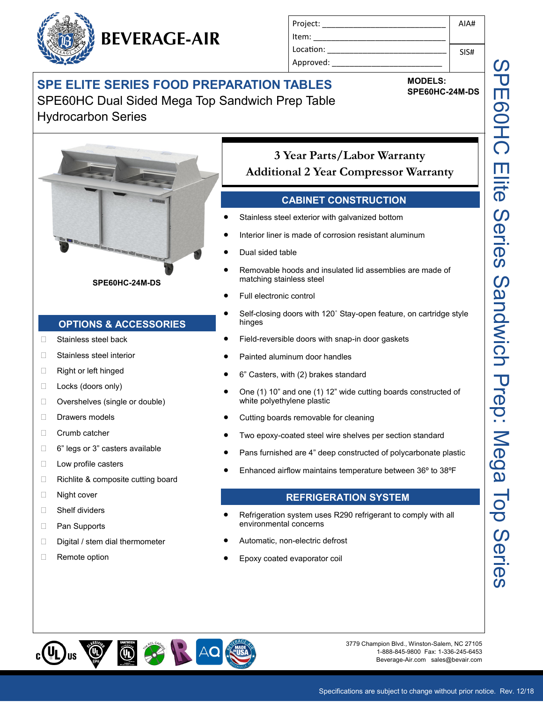

| Project:  | AIAH |
|-----------|------|
| Item:     |      |
| Location: | SIS# |
| Approved: |      |

**MODELS:** 

# SPE ELITE SERIES FOOD PREPARATION TABLES MODELS:<br>
SPE60HC-24M-DS

SPE60HC Dual Sided Mega Top Sandwich Prep Table Hydrocarbon Series



**SPE60HC-24M-DS**

### **OPTIONS & ACCESSORIES**

- Stainless steel back
- □ Stainless steel interior
- □ Right or left hinged
- $\Box$  Locks (doors only)
- □ Overshelves (single or double)
- Drawers models
- □ Crumb catcher
- □ 6" legs or 3" casters available
- □ Low profile casters
- $\Box$  Richlite & composite cutting board
- □ Night cover
- □ Shelf dividers
- □ Pan Supports
- Digital / stem dial thermometer
- □ Remote option

# **3 Year Parts/Labor Warranty Additional 2 Year Compressor Warranty**

#### **CABINET CONSTRUCTION**

- Stainless steel exterior with galvanized bottom
- Interior liner is made of corrosion resistant aluminum
- Dual sided table
- Removable hoods and insulated lid assemblies are made of matching stainless steel
- Full electronic control
- Self-closing doors with 120˚ Stay-open feature, on cartridge style hinges
- Field-reversible doors with snap-in door gaskets
- Painted aluminum door handles
- 6" Casters, with (2) brakes standard
- One (1) 10" and one (1) 12" wide cutting boards constructed of white polyethylene plastic
- Cutting boards removable for cleaning
- Two epoxy-coated steel wire shelves per section standard
- Pans furnished are 4" deep constructed of polycarbonate plastic
- Enhanced airflow maintains temperature between 36º to 38ºF

#### **REFRIGERATION SYSTEM**

- Refrigeration system uses R290 refrigerant to comply with all environmental concerns
- Automatic, non-electric defrost
- Epoxy coated evaporator coil



3779 Champion Blvd., Winston-Salem, NC 27105 1-888-845-9800 Fax: 1-336-245-6453 Beverage-Air.com sales@bevair.com